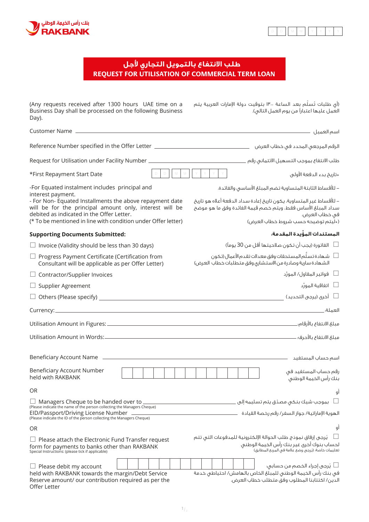



## **REQUEST FOR UTILISATION OF COMMERCIAL TERM LOAN طلب الانتفاع بالتمويل التجاري جل**

| (Any requests received after 1300 hours UAE time on a<br>Business Day shall be processed on the following Business<br>Day).                                                                                                                            | (أي طلبات تُسلَّم بعد الساعة ١٣٠٠ بتوقيت دولة الإمارات العربية يتم<br>العمل عليها اعتباراً من يوم العمل التالي).                                                                             |
|--------------------------------------------------------------------------------------------------------------------------------------------------------------------------------------------------------------------------------------------------------|----------------------------------------------------------------------------------------------------------------------------------------------------------------------------------------------|
|                                                                                                                                                                                                                                                        |                                                                                                                                                                                              |
| الرقم المرجعي المحدد في خطاب العرض هي العرض المحدد في خطاب العرض العرب العروض المحدد في خطاب العرض ا                                                                                                                                                   |                                                                                                                                                                                              |
|                                                                                                                                                                                                                                                        |                                                                                                                                                                                              |
| $\mathbb D$<br>*First Repayment Start Date                                                                                                                                                                                                             | MMYYYY<br>٭تاريخ بدء الدفعة الأولى                                                                                                                                                           |
| -For Equated instalment includes principal and                                                                                                                                                                                                         | – للأقساط الثابتة المتساوية تضم المبلغ الأساسى والفائدة.                                                                                                                                     |
| interest payment.<br>- For Non- Equated Installments the above repayment date<br>will be for the principal amount only, interest will be<br>debited as indicated in the Offer Letter.<br>(* To be mentioned in line with condition under Offer letter) | – للأقساط غير المتساوية، يكون تاريخ إعادة سداد الدفعة أعلاه هو تاريخ<br>سداد المبلغ الأساس فقط، ويتم خصم قيمة الفائدة وفق ما هو موضح<br>في خطاب العرض.<br>(«ليتم توضيحه حسب شروط خطاب العرض) |
| <b>Supporting Documents Submitted:</b>                                                                                                                                                                                                                 | المستندات المؤْيدة المقدمة.                                                                                                                                                                  |
| $\Box$ Invoice (Validity should be less than 30 days)                                                                                                                                                                                                  | الغاتورة (يجب أن تكون صلاحيتها أقل من 30 يوماً $\Box$                                                                                                                                        |
| $\Box$ Progress Payment Certificate (Certification from<br>Consultant will be applicable as per Offer Letter)                                                                                                                                          | شهادة تسلّم المستحقات وفق معدلات تقدم الأعمال (تكون $\Box$<br>الشهادة سارية وصادرة من الاستشارى وفق متطلبات خطاب العرض)                                                                      |
| $\Box$ Contractor/Supplier Invoices                                                                                                                                                                                                                    | └□      فواتير المقاول/ المورِّد                                                                                                                                                             |
| $\Box$ Supplier Agreement                                                                                                                                                                                                                              |                                                                                                                                                                                              |
|                                                                                                                                                                                                                                                        | أخرى (يرجى التحديد) $\Box$                                                                                                                                                                   |
|                                                                                                                                                                                                                                                        |                                                                                                                                                                                              |
|                                                                                                                                                                                                                                                        |                                                                                                                                                                                              |
|                                                                                                                                                                                                                                                        |                                                                                                                                                                                              |
|                                                                                                                                                                                                                                                        |                                                                                                                                                                                              |
| Beneficiary Account Number<br>held with RAKBANK                                                                                                                                                                                                        | رقم حساب المستفيد فى<br>بنك راس الخيمة الوطنى                                                                                                                                                |
| 0R                                                                                                                                                                                                                                                     | gl                                                                                                                                                                                           |
| $\Box$ Managers Cheque to be handed over to<br>(Please indicate the name of the person collecting the Managers Cheque)                                                                                                                                 | بموجب شيك بنكى مصدّق يتم تسليمه إلى                                                                                                                                                          |
| EID/Passport/Driving License Number<br>(Please indicate the ID of the person collecting the Managers Cheque)                                                                                                                                           | الهوية الإماراتية/ جواز السغر/ رقم رخصة القيادة                                                                                                                                              |
| OR.                                                                                                                                                                                                                                                    | gl                                                                                                                                                                                           |
| Please attach the Electronic Fund Transfer request<br>form for payments to banks other than RAKBANK<br>Special Instructions: (please tick if applicable)                                                                                               | يُرجى إرفاق نموذج طلب الحوالة الإلكترونية للمدفوعات التى تتم<br>لحساب بنوك أخرق غير بنك رأس الخيمة الوطنى<br>تعليمات خاصة؛ (يُرجى وضع علامة في المربع المطابق)                               |
| $\Box$ Please debit my account<br>held with RAKBANK towards the margin/Debt Service<br>Reserve amount/ our contribution required as per the<br>Offer Letter                                                                                            | └┘ يُرجى إجراء الخصم من حسابي.<br>فى بنك رأس الخيمة الوطنى للمبلغ الخاص بالهامش/ احتياطى خدمة<br>الدين/ اكتتابنا المطلوب وفق متطلب خطاب العرض.                                               |